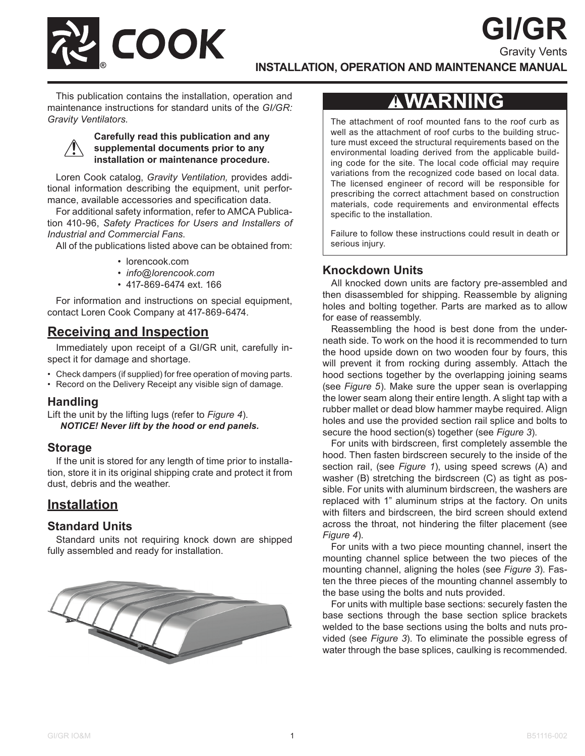

### **INSTALLATION, OPERATION AND MAINTENANCE MANUAL**

This publication contains the installation, operation and maintenance instructions for standard units of the *GI/GR: Gravity Ventilators.*



#### **Carefully read this publication and any supplemental documents prior to any installation or maintenance procedure.**

Loren Cook catalog, *Gravity Ventilation,* provides additional information describing the equipment, unit performance, available accessories and specification data.

For additional safety information, refer to AMCA Publication 410-96, *Safety Practices for Users and Installers of Industrial and Commercial Fans*.

All of the publications listed above can be obtained from:

- lorencook.com
- *• info@lorencook.com*
- 417-869-6474 ext. 166

For information and instructions on special equipment, contact Loren Cook Company at 417-869-6474.

## **Receiving and Inspection**

Immediately upon receipt of a GI/GR unit, carefully inspect it for damage and shortage.

- Check dampers (if supplied) for free operation of moving parts.
- Record on the Delivery Receipt any visible sign of damage.

### **Handling**

Lift the unit by the lifting lugs (refer to *Figure 4*). *NOTICE! Never lift by the hood or end panels.*

### **Storage**

If the unit is stored for any length of time prior to installation, store it in its original shipping crate and protect it from dust, debris and the weather.

### **Installation**

### **Standard Units**

Standard units not requiring knock down are shipped fully assembled and ready for installation.



## **AWARNING**

**GI/GR**

Gravity Vents

The attachment of roof mounted fans to the roof curb as well as the attachment of roof curbs to the building structure must exceed the structural requirements based on the environmental loading derived from the applicable building code for the site. The local code official may require variations from the recognized code based on local data. The licensed engineer of record will be responsible for prescribing the correct attachment based on construction materials, code requirements and environmental effects specific to the installation.

Failure to follow these instructions could result in death or serious injury.

### **Knockdown Units**

All knocked down units are factory pre-assembled and then disassembled for shipping. Reassemble by aligning holes and bolting together. Parts are marked as to allow for ease of reassembly.

Reassembling the hood is best done from the underneath side. To work on the hood it is recommended to turn the hood upside down on two wooden four by fours, this will prevent it from rocking during assembly. Attach the hood sections together by the overlapping joining seams (see *Figure 5*). Make sure the upper sean is overlapping the lower seam along their entire length. A slight tap with a rubber mallet or dead blow hammer maybe required. Align holes and use the provided section rail splice and bolts to secure the hood section(s) together (see *Figure 3*).

For units with birdscreen, first completely assemble the hood. Then fasten birdscreen securely to the inside of the section rail, (see *Figure 1*), using speed screws (A) and washer (B) stretching the birdscreen (C) as tight as possible. For units with aluminum birdscreen, the washers are replaced with 1" aluminum strips at the factory. On units with filters and birdscreen, the bird screen should extend across the throat, not hindering the filter placement (see *Figure 4*).

For units with a two piece mounting channel, insert the mounting channel splice between the two pieces of the mounting channel, aligning the holes (see *Figure 3*). Fasten the three pieces of the mounting channel assembly to the base using the bolts and nuts provided.

For units with multiple base sections: securely fasten the base sections through the base section splice brackets welded to the base sections using the bolts and nuts provided (see *Figure 3*). To eliminate the possible egress of water through the base splices, caulking is recommended.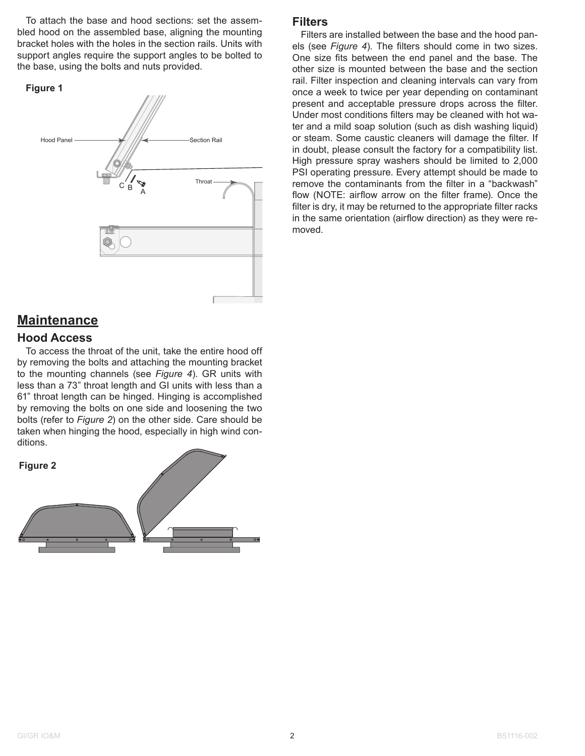To attach the base and hood sections: set the assembled hood on the assembled base, aligning the mounting bracket holes with the holes in the section rails. Units with support angles require the support angles to be bolted to the base, using the bolts and nuts provided.





### **Maintenance**

### **Hood Access**

To access the throat of the unit, take the entire hood off by removing the bolts and attaching the mounting bracket to the mounting channels (see *Figure 4*). GR units with less than a 73" throat length and GI units with less than a 61" throat length can be hinged. Hinging is accomplished by removing the bolts on one side and loosening the two bolts (refer to *Figure 2*) on the other side. Care should be taken when hinging the hood, especially in high wind conditions.



### **Filters**

Filters are installed between the base and the hood panels (see *Figure 4*). The filters should come in two sizes. One size fits between the end panel and the base. The other size is mounted between the base and the section rail. Filter inspection and cleaning intervals can vary from once a week to twice per year depending on contaminant present and acceptable pressure drops across the filter. Under most conditions filters may be cleaned with hot water and a mild soap solution (such as dish washing liquid) or steam. Some caustic cleaners will damage the filter. If in doubt, please consult the factory for a compatibility list. High pressure spray washers should be limited to 2,000 PSI operating pressure. Every attempt should be made to remove the contaminants from the filter in a "backwash" flow (NOTE: airflow arrow on the filter frame). Once the filter is dry, it may be returned to the appropriate filter racks in the same orientation (airflow direction) as they were removed.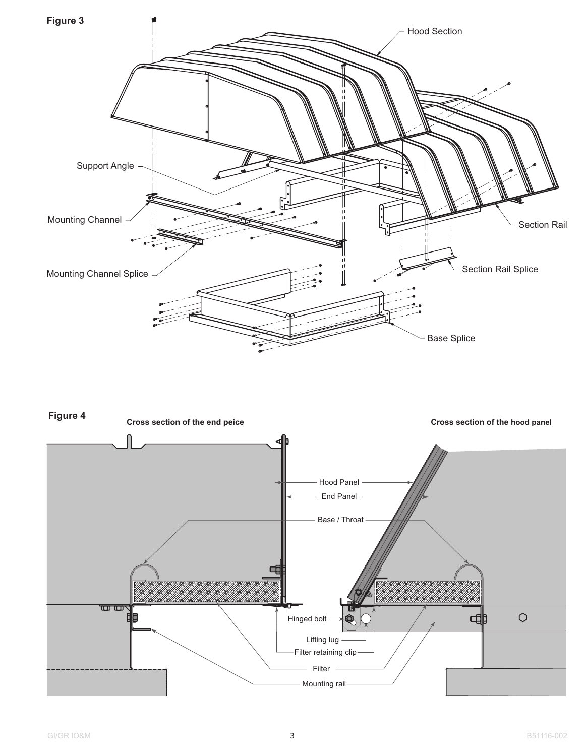